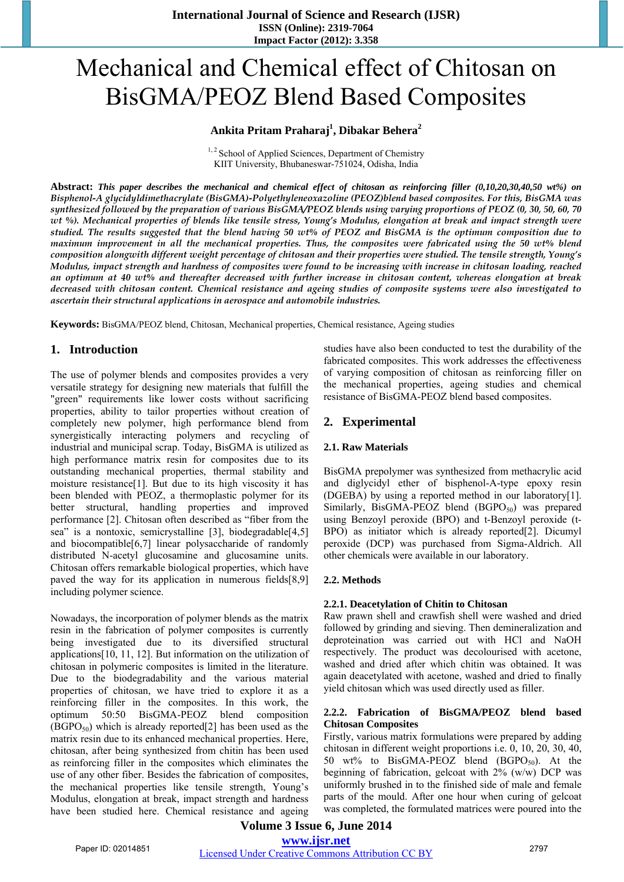# Mechanical and Chemical effect of Chitosan on BisGMA/PEOZ Blend Based Composites

# **Ankita Pritam Praharaj1 , Dibakar Behera<sup>2</sup>**

 $1, 2$  School of Applied Sciences, Department of Chemistry KIIT University, Bhubaneswar-751024, Odisha, India

**Abstract:** *This paper describes the mechanical and chemical effect of chitosan as reinforcing filler (0,10,20,30,40,50 wt%) on Bisphenol-A glycidyldimethacrylate (BisGMA)-Polyethyleneoxazoline (PEOZ)blend based composites. For this, BisGMA was synthesized followed by the preparation of various BisGMA/PEOZ blends using varying proportions of PEOZ (0, 30, 50, 60, 70 wt %). Mechanical properties of blends like tensile stress, Young's Modulus, elongation at break and impact strength were studied. The results suggested that the blend having 50 wt% of PEOZ and BisGMA is the optimum composition due to maximum improvement in all the mechanical properties. Thus, the composites were fabricated using the 50 wt% blend composition alongwith different weight percentage of chitosan and their properties were studied. The tensile strength, Young's Modulus, impact strength and hardness of composites were found to be increasing with increase in chitosan loading, reached an optimum at 40 wt% and thereafter decreased with further increase in chitosan content, whereas elongation at break decreased with chitosan content. Chemical resistance and ageing studies of composite systems were also investigated to ascertain their structural applications in aerospace and automobile industries.*

**Keywords:** BisGMA/PEOZ blend, Chitosan, Mechanical properties, Chemical resistance, Ageing studies

# **1. Introduction**

The use of polymer blends and composites provides a very versatile strategy for designing new materials that fulfill the "green" requirements like lower costs without sacrificing properties, ability to tailor properties without creation of completely new polymer, high performance blend from synergistically interacting polymers and recycling of industrial and municipal scrap. Today, BisGMA is utilized as high performance matrix resin for composites due to its outstanding mechanical properties, thermal stability and moisture resistance[1]. But due to its high viscosity it has been blended with PEOZ, a thermoplastic polymer for its better structural, handling properties and improved performance [2]. Chitosan often described as "fiber from the sea" is a nontoxic, semicrystalline [3], biodegradable<sup>[4,5]</sup> and biocompatible[6,7] linear polysaccharide of randomly distributed N-acetyl glucosamine and glucosamine units. Chitosan offers remarkable biological properties, which have paved the way for its application in numerous fields[8,9] including polymer science.

Nowadays, the incorporation of polymer blends as the matrix resin in the fabrication of polymer composites is currently being investigated due to its diversified structural applications[10, 11, 12]. But information on the utilization of chitosan in polymeric composites is limited in the literature. Due to the biodegradability and the various material properties of chitosan, we have tried to explore it as a reinforcing filler in the composites. In this work, the optimum 50:50 BisGMA-PEOZ blend composition  $(BGPO<sub>50</sub>)$  which is already reported[2] has been used as the matrix resin due to its enhanced mechanical properties. Here, chitosan, after being synthesized from chitin has been used as reinforcing filler in the composites which eliminates the use of any other fiber. Besides the fabrication of composites, the mechanical properties like tensile strength, Young's Modulus, elongation at break, impact strength and hardness have been studied here. Chemical resistance and ageing studies have also been conducted to test the durability of the fabricated composites. This work addresses the effectiveness of varying composition of chitosan as reinforcing filler on the mechanical properties, ageing studies and chemical resistance of BisGMA-PEOZ blend based composites.

# **2. Experimental**

#### **2.1. Raw Materials**

BisGMA prepolymer was synthesized from methacrylic acid and diglycidyl ether of bisphenol-A-type epoxy resin (DGEBA) by using a reported method in our laboratory[1]. Similarly, BisGMA-PEOZ blend  $(BGPO<sub>50</sub>)$  was prepared using Benzoyl peroxide (BPO) and t-Benzoyl peroxide (t-BPO) as initiator which is already reported[2]. Dicumyl peroxide (DCP) was purchased from Sigma-Aldrich. All other chemicals were available in our laboratory.

#### **2.2. Methods**

#### **2.2.1. Deacetylation of Chitin to Chitosan**

Raw prawn shell and crawfish shell were washed and dried followed by grinding and sieving. Then demineralization and deproteination was carried out with HCl and NaOH respectively. The product was decolourised with acetone, washed and dried after which chitin was obtained. It was again deacetylated with acetone, washed and dried to finally yield chitosan which was used directly used as filler.

#### **2.2.2. Fabrication of BisGMA/PEOZ blend based Chitosan Composites**

Firstly, various matrix formulations were prepared by adding chitosan in different weight proportions i.e. 0, 10, 20, 30, 40, 50 wt% to BisGMA-PEOZ blend  $(BGPO<sub>50</sub>)$ . At the beginning of fabrication, gelcoat with 2% (w/w) DCP was uniformly brushed in to the finished side of male and female parts of the mould. After one hour when curing of gelcoat was completed, the formulated matrices were poured into the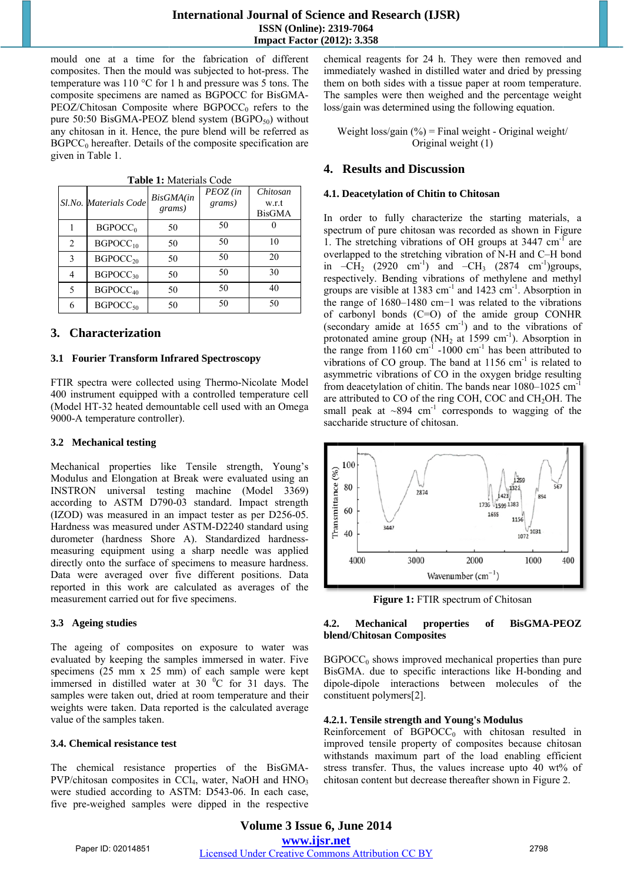#### **International Journal of Science and Research (IJSR)** ISSN (Online): 2319-7064 **Impact Factor (2012): 3.358**

mould one at a time for the fabrication of different composites. Then the mould was subjected to hot-press. The temperature was  $110 \degree C$  for 1 h and pressure was 5 tons. The composite specimens are named as BGPOCC for BisGMA- $PEOZ/Chitosan$  Composite where  $BGPOCC<sub>0</sub>$  refers to the pure 50:50 BisGMA-PEOZ blend system (BGPO $_{50}$ ) without any chitosan in it. Hence, the pure blend will be referred as  $BGPCC<sub>0</sub>$  hereafter. Details of the composite specification are given in Table 1.

|                | Sl.No. Materials Code | BisGMA(in<br>grams) | PEOZ (in<br>grams) | Chitosan<br>w.r.t<br><b>BisGMA</b> |
|----------------|-----------------------|---------------------|--------------------|------------------------------------|
|                | BGPOCC <sub>0</sub>   | 50                  | 50                 |                                    |
| $\overline{2}$ | $BGPOCC_{10}$         | 50                  | 50                 | 10                                 |
| 3              | BGPOCC <sub>20</sub>  | 50                  | 50                 | 20                                 |
| 4              | $BGPOCC_{30}$         | 50                  | 50                 | 30                                 |
| 5              | BGPOCC <sub>40</sub>  | 50                  | 50                 | 40                                 |
| 6              | $BGPOCC_{50}$         | 50                  | 50                 | 50                                 |

Table 1: Materials Code

### 3. Characterization

#### 3.1 Fourier Transform Infrared Spectroscopy

FTIR spectra were collected using Thermo-Nicolate Model 400 instrument equipped with a controlled temperature cell (Model HT-32 heated demountable cell used with an Omega 9000-A temperature controller).

#### 3.2 Mechanical testing

Mechanical properties like Tensile strength, Young's Modulus and Elongation at Break were evaluated using an INSTRON universal testing machine (Model 3369) according to ASTM D790-03 standard. Impact strength (IZOD) was measured in an impact tester as per D256-05. Hardness was measured under ASTM-D2240 standard using durometer (hardness Shore A). Standardized hardnessmeasuring equipment using a sharp needle was applied directly onto the surface of specimens to measure hardness. Data were averaged over five different positions. Data reported in this work are calculated as averages of the measurement carried out for five specimens.

#### 3.3 Ageing studies

The ageing of composites on exposure to water was evaluated by keeping the samples immersed in water. Five specimens (25 mm x 25 mm) of each sample were kept immersed in distilled water at 30 °C for 31 days. The samples were taken out, dried at room temperature and their weights were taken. Data reported is the calculated average value of the samples taken.

#### 3.4. Chemical resistance test

The chemical resistance properties of the BisGMA- $PVP/chi$ tosan composites in CCl<sub>4</sub>, water, NaOH and HNO<sub>3</sub> were studied according to ASTM: D543-06. In each case, five pre-weighed samples were dipped in the respective chemical reagents for 24 h. They were then removed and immediately washed in distilled water and dried by pressing them on both sides with a tissue paper at room temperature. The samples were then weighed and the percentage weight loss/gain was determined using the following equation.

Weight  $loss/gain$  (%) = Final weight - Original weight/ Original weight (1)

## 4. Results and Discussion

#### 4.1. Deacetylation of Chitin to Chitosan

In order to fully characterize the starting materials, a spectrum of pure chitosan was recorded as shown in Figure 1. The stretching vibrations of OH groups at 3447 cm<sup>-1</sup> are overlapped to the stretching vibration of N-H and C-H bond in  $-CH_2$  (2920 cm<sup>-1</sup>) and  $-CH_3$  (2874 cm<sup>-1</sup>)groups, respectively. Bending vibrations of methylene and methyl groups are visible at 1383  $cm^{-1}$  and 1423  $cm^{-1}$ . Absorption in the range of  $1680-1480$  cm-1 was related to the vibrations of carbonyl bonds  $(C=O)$  of the amide group CONHR (secondary amide at  $1655 \text{ cm}^{-1}$ ) and to the vibrations of protonated amine group (NH<sub>2</sub> at 1599 cm<sup>-1</sup>). Absorption in the range from  $1160 \text{ cm}^{-1}$  -1000 cm<sup>-1</sup> has been attributed to vibrations of CO group. The band at  $1156 \text{ cm}^{-1}$  is related to asymmetric vibrations of CO in the oxygen bridge resulting from deacetylation of chitin. The bands near  $1080-1025$  cm<sup>-1</sup> are attributed to CO of the ring COH, COC and CH<sub>2</sub>OH. The small peak at  $\sim 894$  cm<sup>-1</sup> corresponds to wagging of the saccharide structure of chitosan.



Figure 1: FTIR spectrum of Chitosan

#### **Mechanical BisGMA-PEOZ**  $4.2.$ properties of blend/Chitosan Composites

 $BGPOCC<sub>0</sub>$  shows improved mechanical properties than pure BisGMA, due to specific interactions like H-bonding and dipole-dipole interactions between molecules of the constituent polymers[2].

#### 4.2.1. Tensile strength and Young's Modulus

Reinforcement of  $BGPOCC<sub>0</sub>$  with chitosan resulted in improved tensile property of composites because chitosan withstands maximum part of the load enabling efficient stress transfer. Thus, the values increase upto 40 wt% of chitosan content but decrease thereafter shown in Figure 2.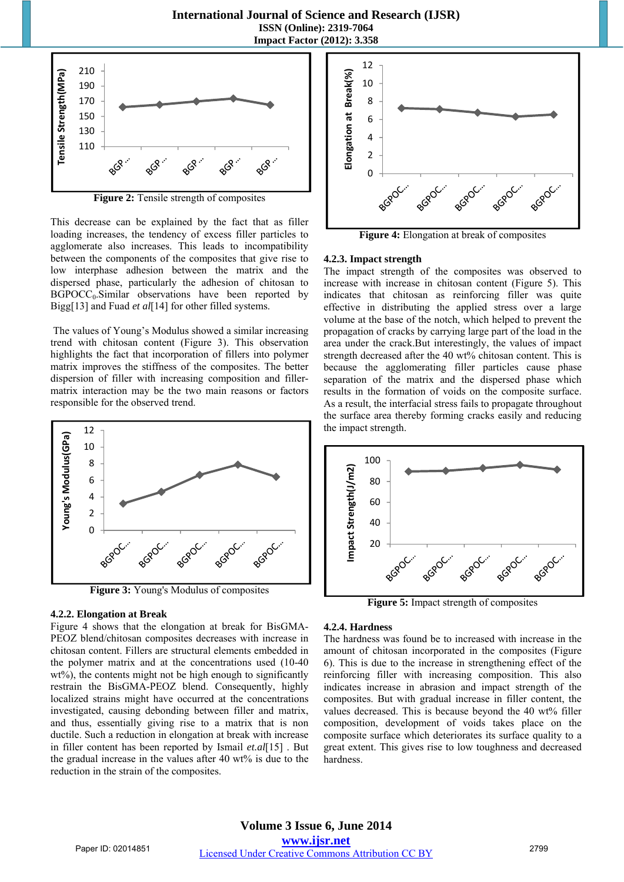**International Journal of Science and Research (IJSR) ISSN (Online): 2319-7064 Impact Factor (2012): 3.358** 



**Figure 2:** Tensile strength of composites

This decrease can be explained by the fact that as filler loading increases, the tendency of excess filler particles to agglomerate also increases. This leads to incompatibility between the components of the composites that give rise to low interphase adhesion between the matrix and the dispersed phase, particularly the adhesion of chitosan to  $BGPOCC<sub>0</sub>$ . Similar observations have been reported by Bigg[13] and Fuad *et al*[14] for other filled systems.

 The values of Young's Modulus showed a similar increasing trend with chitosan content (Figure 3). This observation highlights the fact that incorporation of fillers into polymer matrix improves the stiffness of the composites. The better dispersion of filler with increasing composition and fillermatrix interaction may be the two main reasons or factors responsible for the observed trend.



**Figure 3:** Young's Modulus of composites

#### **4.2.2. Elongation at Break**

Figure 4 shows that the elongation at break for BisGMA-PEOZ blend/chitosan composites decreases with increase in chitosan content. Fillers are structural elements embedded in the polymer matrix and at the concentrations used (10-40 wt%), the contents might not be high enough to significantly restrain the BisGMA-PEOZ blend. Consequently, highly localized strains might have occurred at the concentrations investigated, causing debonding between filler and matrix, and thus, essentially giving rise to a matrix that is non ductile. Such a reduction in elongation at break with increase in filler content has been reported by Ismail *et.al*[15] . But the gradual increase in the values after 40 wt% is due to the reduction in the strain of the composites.



**Figure 4:** Elongation at break of composites

#### **4.2.3. Impact strength**

The impact strength of the composites was observed to increase with increase in chitosan content (Figure 5). This indicates that chitosan as reinforcing filler was quite effective in distributing the applied stress over a large volume at the base of the notch, which helped to prevent the propagation of cracks by carrying large part of the load in the area under the crack.But interestingly, the values of impact strength decreased after the 40 wt% chitosan content. This is because the agglomerating filler particles cause phase separation of the matrix and the dispersed phase which results in the formation of voids on the composite surface. As a result, the interfacial stress fails to propagate throughout the surface area thereby forming cracks easily and reducing the impact strength.



**Figure 5:** Impact strength of composites

#### **4.2.4. Hardness**

The hardness was found be to increased with increase in the amount of chitosan incorporated in the composites (Figure 6). This is due to the increase in strengthening effect of the reinforcing filler with increasing composition. This also indicates increase in abrasion and impact strength of the composites. But with gradual increase in filler content, the values decreased. This is because beyond the 40 wt% filler composition, development of voids takes place on the composite surface which deteriorates its surface quality to a great extent. This gives rise to low toughness and decreased hardness.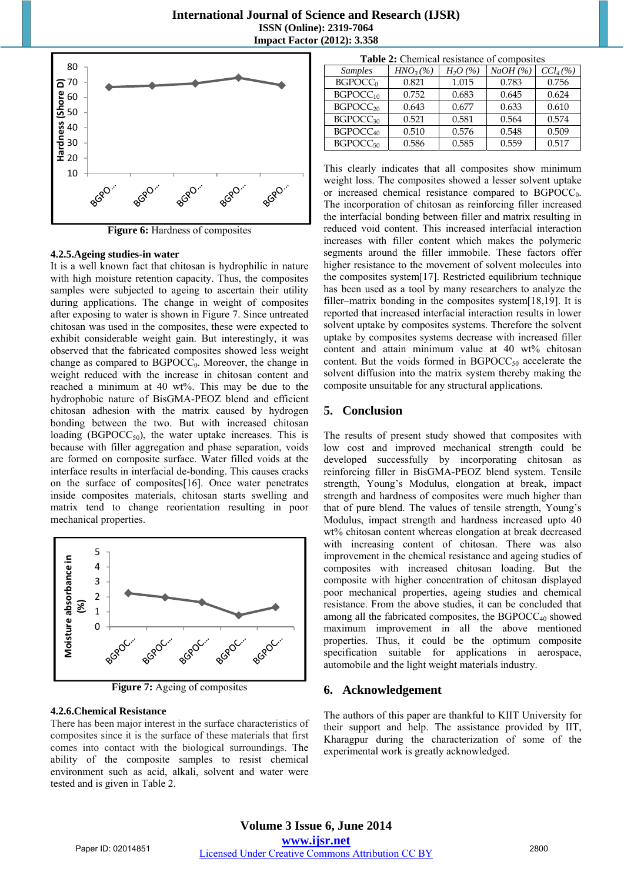

**Figure 6:** Hardness of composites

#### **4.2.5.Ageing studies-in water**

It is a well known fact that chitosan is hydrophilic in nature with high moisture retention capacity. Thus, the composites samples were subjected to ageing to ascertain their utility during applications. The change in weight of composites after exposing to water is shown in Figure 7. Since untreated chitosan was used in the composites, these were expected to exhibit considerable weight gain. But interestingly, it was observed that the fabricated composites showed less weight change as compared to  $BGPOCC_0$ . Moreover, the change in weight reduced with the increase in chitosan content and reached a minimum at 40 wt%. This may be due to the hydrophobic nature of BisGMA-PEOZ blend and efficient chitosan adhesion with the matrix caused by hydrogen bonding between the two. But with increased chitosan loading ( $BGPOCC_{50}$ ), the water uptake increases. This is because with filler aggregation and phase separation, voids are formed on composite surface. Water filled voids at the interface results in interfacial de-bonding. This causes cracks on the surface of composites[16]. Once water penetrates inside composites materials, chitosan starts swelling and matrix tend to change reorientation resulting in poor mechanical properties.



**Figure 7:** Ageing of composites

#### **4.2.6.Chemical Resistance**

There has been major interest in the surface characteristics of composites since it is the surface of these materials that first comes into contact with the biological surroundings. The ability of the composite samples to resist chemical environment such as acid, alkali, solvent and water were tested and is given in Table 2.

| Table 2: Chemical resistance of composites |
|--------------------------------------------|
|--------------------------------------------|

| <b>Samples</b>       | $HNO3(\%)$ | $H_2O(\%)$ | NaOH(%) | $CCl_{4}(\% )$ |
|----------------------|------------|------------|---------|----------------|
| BGPOCC <sub>0</sub>  | 0.821      | 1.015      | 0.783   | 0.756          |
| BGPOCC <sub>10</sub> | 0.752      | 0.683      | 0.645   | 0.624          |
| BGPOCC <sub>20</sub> | 0.643      | 0.677      | 0.633   | 0.610          |
| BGPOCC <sub>30</sub> | 0.521      | 0.581      | 0.564   | 0.574          |
| BGPOCC <sub>40</sub> | 0.510      | 0.576      | 0.548   | 0.509          |
| BGPOCC <sub>50</sub> | 0.586      | 0.585      | 0.559   | 0.517          |

This clearly indicates that all composites show minimum weight loss. The composites showed a lesser solvent uptake or increased chemical resistance compared to  $BGPOCC_0$ . The incorporation of chitosan as reinforcing filler increased the interfacial bonding between filler and matrix resulting in reduced void content. This increased interfacial interaction increases with filler content which makes the polymeric segments around the filler immobile. These factors offer higher resistance to the movement of solvent molecules into the composites system[17]. Restricted equilibrium technique has been used as a tool by many researchers to analyze the filler–matrix bonding in the composites system[18,19]. It is reported that increased interfacial interaction results in lower solvent uptake by composites systems. Therefore the solvent uptake by composites systems decrease with increased filler content and attain minimum value at 40 wt% chitosan content. But the voids formed in  $BGPOCC_{50}$  accelerate the solvent diffusion into the matrix system thereby making the composite unsuitable for any structural applications.

### **5. Conclusion**

The results of present study showed that composites with low cost and improved mechanical strength could be developed successfully by incorporating chitosan as reinforcing filler in BisGMA-PEOZ blend system. Tensile strength, Young's Modulus, elongation at break, impact strength and hardness of composites were much higher than that of pure blend. The values of tensile strength, Young's Modulus, impact strength and hardness increased upto 40 wt% chitosan content whereas elongation at break decreased with increasing content of chitosan. There was also improvement in the chemical resistance and ageing studies of composites with increased chitosan loading. But the composite with higher concentration of chitosan displayed poor mechanical properties, ageing studies and chemical resistance. From the above studies, it can be concluded that among all the fabricated composites, the  $BGPOCC_{40}$  showed maximum improvement in all the above mentioned properties. Thus, it could be the optimum composite specification suitable for applications in aerospace, automobile and the light weight materials industry.

#### **6. Acknowledgement**

The authors of this paper are thankful to KIIT University for their support and help. The assistance provided by IIT, Kharagpur during the characterization of some of the experimental work is greatly acknowledged.